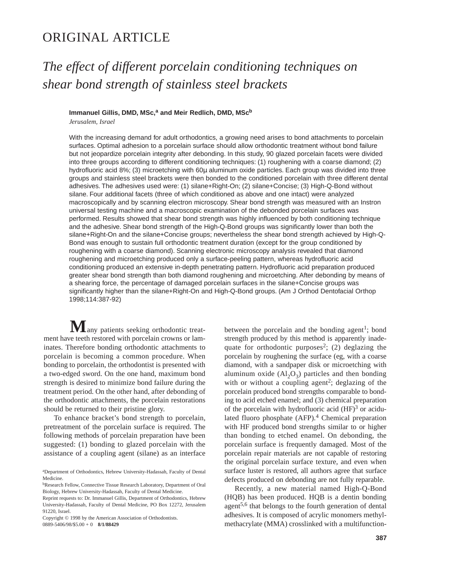# ORIGINAL ARTICLE

# *The effect of different porcelain conditioning techniques on shear bond strength of stainless steel brackets*

## Immanuel Gillis, DMD, MSc,<sup>a</sup> and Meir Redlich, DMD, MSc<sup>b</sup>

*Jerusalem, Israel*

With the increasing demand for adult orthodontics, a growing need arises to bond attachments to porcelain surfaces. Optimal adhesion to a porcelain surface should allow orthodontic treatment without bond failure but not jeopardize porcelain integrity after debonding. In this study, 90 glazed porcelain facets were divided into three groups according to different conditioning techniques: (1) roughening with a coarse diamond; (2) hydrofluoric acid 8%; (3) microetching with 60µ aluminum oxide particles. Each group was divided into three groups and stainless steel brackets were then bonded to the conditioned porcelain with three different dental adhesives. The adhesives used were: (1) silane+Right-On; (2) silane+Concise; (3) High-Q-Bond without silane. Four additional facets (three of which conditioned as above and one intact) were analyzed macroscopically and by scanning electron microscopy. Shear bond strength was measured with an Instron universal testing machine and a macroscopic examination of the debonded porcelain surfaces was performed. Results showed that shear bond strength was highly influenced by both conditioning technique and the adhesive. Shear bond strength of the High-Q-Bond groups was significantly lower than both the silane+Right-On and the silane+Concise groups; nevertheless the shear bond strength achieved by High-Q-Bond was enough to sustain full orthodontic treatment duration (except for the group conditioned by roughening with a coarse diamond). Scanning electronic microscopy analysis revealed that diamond roughening and microetching produced only a surface-peeling pattern, whereas hydrofluoric acid conditioning produced an extensive in-depth penetrating pattern. Hydrofluoric acid preparation produced greater shear bond strength than both diamond roughening and microetching. After debonding by means of a shearing force, the percentage of damaged porcelain surfaces in the silane+Concise groups was significantly higher than the silane+Right-On and High-Q-Bond groups. (Am J Orthod Dentofacial Orthop 1998;114:387-92)

 $M$ any patients seeking orthodontic treatment have teeth restored with porcelain crowns or laminates. Therefore bonding orthodontic attachments to porcelain is becoming a common procedure. When bonding to porcelain, the orthodontist is presented with a two-edged sword. On the one hand, maximum bond strength is desired to minimize bond failure during the treatment period. On the other hand, after debonding of the orthodontic attachments, the porcelain restorations should be returned to their pristine glory.

To enhance bracket's bond strength to porcelain, pretreatment of the porcelain surface is required. The following methods of porcelain preparation have been suggested: (1) bonding to glazed porcelain with the assistance of a coupling agent (silane) as an interface

Copyright © 1998 by the American Association of Orthodontists. 0889-5406/98/\$5.00 + 0 **8/1/88429**

between the porcelain and the bonding agent<sup>1</sup>; bond strength produced by this method is apparently inadequate for orthodontic purposes<sup>2</sup>; (2) deglazing the porcelain by roughening the surface (eg, with a coarse diamond, with a sandpaper disk or microetching with aluminum oxide  $(Al_2O_3)$  particles and then bonding with or without a coupling agent<sup>2</sup>; deglazing of the porcelain produced bond strengths comparable to bonding to acid etched enamel; and (3) chemical preparation of the porcelain with hydrofluoric acid  $(HF)^3$  or acidulated fluoro phosphate (AFP).<sup>4</sup> Chemical preparation with HF produced bond strengths similar to or higher than bonding to etched enamel. On debonding, the porcelain surface is frequently damaged. Most of the porcelain repair materials are not capable of restoring the original porcelain surface texture, and even when surface luster is restored, all authors agree that surface defects produced on debonding are not fully reparable.

Recently, a new material named High-Q-Bond (HQB) has been produced. HQB is a dentin bonding agent<sup>5,6</sup> that belongs to the fourth generation of dental adhesives. It is composed of acrylic monomers methylmethacrylate (MMA) crosslinked with a multifunction-

aDepartment of Orthodontics, Hebrew University-Hadassah, Faculty of Dental Medicine.

bResearch Fellow, Connective Tissue Research Laboratory, Department of Oral Biology, Hebrew University-Hadassah, Faculty of Dental Medicine.

Reprint requests to: Dr. Immanuel Gillis, Department of Orthodontics, Hebrew University-Hadassah, Faculty of Dental Medicine, PO Box 12272, Jerusalem 91220, Israel.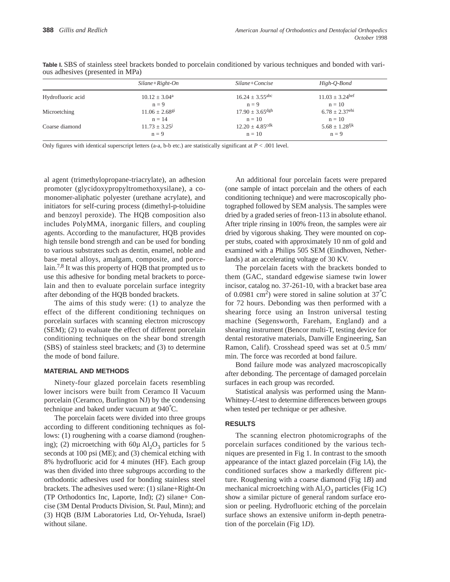|                   | $Silane+Right$ - $On$          | Silane+Concise                  | High-Q-Bond                     |
|-------------------|--------------------------------|---------------------------------|---------------------------------|
| Hydrofluoric acid | $10.12 \pm 3.04^{\text{a}}$    | $16.24 \pm 3.55$ <sup>abc</sup> | $11.03 \pm 3.24$ <sup>bef</sup> |
|                   | $n = 9$                        | $n = 9$                         | $n = 10$                        |
| Microetching      | $11.06 \pm 2.68$ <sup>gi</sup> | $17.90 \pm 3.65$ dgh            | $6.78 \pm 2.37$ <sup>ehi</sup>  |
|                   | $n = 14$                       | $n = 10$                        | $n = 10$                        |
| Coarse diamond    | $11.73 \pm 3.25^{\circ}$       | $12.20 \pm 4.85$ <sup>cdk</sup> | $5.68 \pm 1.28$ <sup>fjk</sup>  |
|                   | $n = 9$                        | $n = 10$                        | $n = 9$                         |

**Table I.** SBS of stainless steel brackets bonded to porcelain conditioned by various techniques and bonded with various adhesives (presented in MPa)

Only figures with identical superscript letters (a-a, b-b etc.) are statistically significant at *P* < .001 level.

al agent (trimethylopropane-triacrylate), an adhesion promoter (glycidoxypropyltromethoxysilane), a comonomer-aliphatic polyester (urethane acrylate), and initiators for self-curing process (dimethyl-p-toluidine and benzoyl peroxide). The HQB composition also includes PolyMMA, inorganic fillers, and coupling agents. According to the manufacturer, HQB provides high tensile bond strength and can be used for bonding to various substrates such as dentin, enamel, noble and base metal alloys, amalgam, composite, and porcelain.7,8 It was this property of HQB that prompted us to use this adhesive for bonding metal brackets to porcelain and then to evaluate porcelain surface integrity after debonding of the HQB bonded brackets.

The aims of this study were: (1) to analyze the effect of the different conditioning techniques on porcelain surfaces with scanning electron microscopy (SEM); (2) to evaluate the effect of different porcelain conditioning techniques on the shear bond strength (SBS) of stainless steel brackets; and (3) to determine the mode of bond failure.

#### **MATERIAL AND METHODS**

Ninety-four glazed porcelain facets resembling lower incisors were built from Ceramco II Vacuum porcelain (Ceramco, Burlington NJ) by the condensing technique and baked under vacuum at 940° C.

The porcelain facets were divided into three groups according to different conditioning techniques as follows: (1) roughening with a coarse diamond (roughening); (2) microetching with  $60\mu$  Al<sub>2</sub>O<sub>3</sub> particles for 5 seconds at 100 psi (ME); and (3) chemical etching with 8% hydrofluoric acid for 4 minutes (HF). Each group was then divided into three subgroups according to the orthodontic adhesives used for bonding stainless steel brackets. The adhesives used were: (1) silane+Right-On (TP Orthodontics Inc, Laporte, Ind); (2) silane+ Concise (3M Dental Products Division, St. Paul, Minn); and (3) HQB (BJM Laboratories Ltd, Or-Yehuda, Israel) without silane.

An additional four porcelain facets were prepared (one sample of intact porcelain and the others of each conditioning technique) and were macroscopically photographed followed by SEM analysis. The samples were dried by a graded series of freon-113 in absolute ethanol. After triple rinsing in 100% freon, the samples were air dried by vigorous shaking. They were mounted on copper stubs, coated with approximately 10 nm of gold and examined with a Philips 505 SEM (Eindhoven, Netherlands) at an accelerating voltage of 30 KV.

The porcelain facets with the brackets bonded to them (GAC, standard edgewise siamese twin lower incisor, catalog no. 37-261-10, with a bracket base area of 0.0981 cm<sup>2</sup>) were stored in saline solution at  $37^{\circ}$ C for 72 hours. Debonding was then performed with a shearing force using an Instron universal testing machine (Segensworth, Fareham, England) and a shearing instrument (Bencor multi-T, testing device for dental restorative materials, Danville Engineering, San Ramon, Calif). Crosshead speed was set at 0.5 mm/ min. The force was recorded at bond failure.

Bond failure mode was analyzed macroscopically after debonding. The percentage of damaged porcelain surfaces in each group was recorded.

Statistical analysis was performed using the Mann-Whitney-*U*-test to determine differences between groups when tested per technique or per adhesive.

#### **RESULTS**

The scanning electron photomicrographs of the porcelain surfaces conditioned by the various techniques are presented in Fig 1. In contrast to the smooth appearance of the intact glazed porcelain (Fig 1*A*), the conditioned surfaces show a markedly different picture. Roughening with a coarse diamond (Fig 1*B*) and mechanical microetching with  $AI_2O_3$  particles (Fig 1*C*) show a similar picture of general random surface erosion or peeling. Hydrofluoric etching of the porcelain surface shows an extensive uniform in-depth penetration of the porcelain (Fig 1*D*).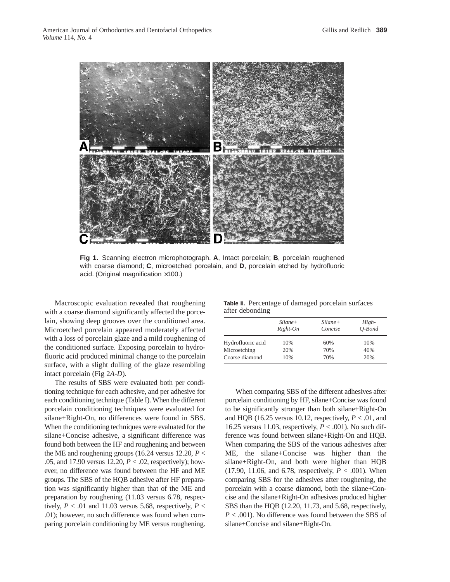

**Fig 1.** Scanning electron microphotograph. **A**, Intact porcelain; **B**, porcelain roughened with coarse diamond; **C**, microetched porcelain, and **D**, porcelain etched by hydrofluoric acid. (Original magnification ×100.)

Macroscopic evaluation revealed that roughening with a coarse diamond significantly affected the porcelain, showing deep grooves over the conditioned area. Microetched porcelain appeared moderately affected with a loss of porcelain glaze and a mild roughening of the conditioned surface. Exposing porcelain to hydrofluoric acid produced minimal change to the porcelain surface, with a slight dulling of the glaze resembling intact porcelain (Fig 2*A*-*D*).

The results of SBS were evaluated both per conditioning technique for each adhesive, and per adhesive for each conditioning technique (Table I). When the different porcelain conditioning techniques were evaluated for silane+Right-On, no differences were found in SBS. When the conditioning techniques were evaluated for the silane+Concise adhesive, a significant difference was found both between the HF and roughening and between the ME and roughening groups (16.24 versus 12.20,  $P <$ .05, and 17.90 versus 12.20, *P* < .02, respectively); however, no difference was found between the HF and ME groups. The SBS of the HQB adhesive after HF preparation was significantly higher than that of the ME and preparation by roughening (11.03 versus 6.78, respectively,  $P < .01$  and 11.03 versus 5.68, respectively,  $P <$ .01); however, no such difference was found when comparing porcelain conditioning by ME versus roughening.

**Table II.** Percentage of damaged porcelain surfaces after debonding

|                   | Silane+<br>Right-On | Silane+<br>Concise | High-<br>$O$ -Bond |
|-------------------|---------------------|--------------------|--------------------|
| Hydrofluoric acid | 10%                 | 60%                | 10%                |
| Microetching      | 20%                 | 70%                | 40%                |
| Coarse diamond    | 10%                 | 70%                | 20%                |

When comparing SBS of the different adhesives after porcelain conditioning by HF, silane+Concise was found to be significantly stronger than both silane+Right-On and HQB (16.25 versus 10.12, respectively,  $P < .01$ , and 16.25 versus 11.03, respectively, *P* < .001). No such difference was found between silane+Right-On and HQB. When comparing the SBS of the various adhesives after ME, the silane+Concise was higher than the silane+Right-On, and both were higher than HQB  $(17.90, 11.06, and 6.78, respectively,  $P < .001$ ). When$ comparing SBS for the adhesives after roughening, the porcelain with a coarse diamond, both the silane+Concise and the silane+Right-On adhesives produced higher SBS than the HQB (12.20, 11.73, and 5.68, respectively, *P* < .001). No difference was found between the SBS of silane+Concise and silane+Right-On.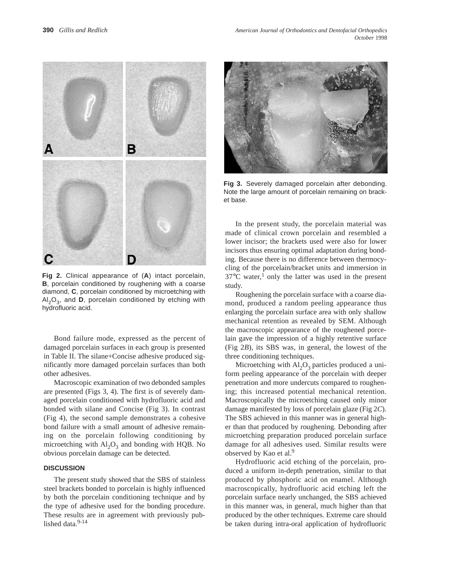

**Fig 2.** Clinical appearance of (**A**) intact porcelain, **B**, porcelain conditioned by roughening with a coarse diamond, **C**, porcelain conditioned by microetching with  $Al_2O_3$ , and **D**, porcelain conditioned by etching with hydrofluoric acid.

Bond failure mode, expressed as the percent of damaged porcelain surfaces in each group is presented in Table II. The silane+Concise adhesive produced significantly more damaged porcelain surfaces than both other adhesives.

Macroscopic examination of two debonded samples are presented (Figs 3, 4). The first is of severely damaged porcelain conditioned with hydrofluoric acid and bonded with silane and Concise (Fig 3). In contrast (Fig 4), the second sample demonstrates a cohesive bond failure with a small amount of adhesive remaining on the porcelain following conditioning by microetching with  $Al_2O_3$  and bonding with HQB. No obvious porcelain damage can be detected.

#### **DISCUSSION**

The present study showed that the SBS of stainless steel brackets bonded to porcelain is highly influenced by both the porcelain conditioning technique and by the type of adhesive used for the bonding procedure. These results are in agreement with previously published data.<sup>9-14</sup>



**Fig 3.** Severely damaged porcelain after debonding. Note the large amount of porcelain remaining on bracket base.

In the present study, the porcelain material was made of clinical crown porcelain and resembled a lower incisor; the brackets used were also for lower incisors thus ensuring optimal adaptation during bonding. Because there is no difference between thermocycling of the porcelain/bracket units and immersion in  $37^{\circ}$ C water,<sup>1</sup> only the latter was used in the present study.

Roughening the porcelain surface with a coarse diamond, produced a random peeling appearance thus enlarging the porcelain surface area with only shallow mechanical retention as revealed by SEM. Although the macroscopic appearance of the roughened porcelain gave the impression of a highly retentive surface (Fig 2*B*), its SBS was, in general, the lowest of the three conditioning techniques.

Microetching with  $Al_2O_3$  particles produced a uniform peeling appearance of the porcelain with deeper penetration and more undercuts compared to roughening; this increased potential mechanical retention. Macroscopically the microetching caused only minor damage manifested by loss of porcelain glaze (Fig 2*C*). The SBS achieved in this manner was in general higher than that produced by roughening. Debonding after microetching preparation produced porcelain surface damage for all adhesives used. Similar results were observed by Kao et al.<sup>9</sup>

Hydrofluoric acid etching of the porcelain, produced a uniform in-depth penetration, similar to that produced by phosphoric acid on enamel. Although macroscopically, hydrofluoric acid etching left the porcelain surface nearly unchanged, the SBS achieved in this manner was, in general, much higher than that produced by the other techniques. Extreme care should be taken during intra-oral application of hydrofluoric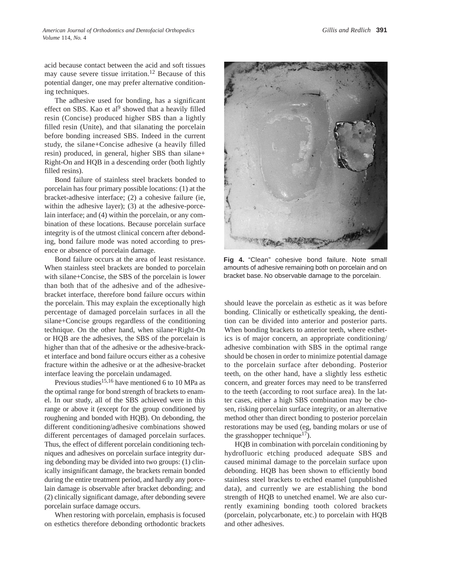acid because contact between the acid and soft tissues may cause severe tissue irritation.<sup>12</sup> Because of this potential danger, one may prefer alternative conditioning techniques.

The adhesive used for bonding, has a significant effect on SBS. Kao et al<sup>9</sup> showed that a heavily filled resin (Concise) produced higher SBS than a lightly filled resin (Unite), and that silanating the porcelain before bonding increased SBS. Indeed in the current study, the silane+Concise adhesive (a heavily filled resin) produced, in general, higher SBS than silane+ Right-On and HQB in a descending order (both lightly filled resins).

Bond failure of stainless steel brackets bonded to porcelain has four primary possible locations: (1) at the bracket-adhesive interface; (2) a cohesive failure (ie, within the adhesive layer); (3) at the adhesive-porcelain interface; and (4) within the porcelain, or any combination of these locations. Because porcelain surface integrity is of the utmost clinical concern after debonding, bond failure mode was noted according to presence or absence of porcelain damage.

Bond failure occurs at the area of least resistance. When stainless steel brackets are bonded to porcelain with silane+Concise, the SBS of the porcelain is lower than both that of the adhesive and of the adhesivebracket interface, therefore bond failure occurs within the porcelain. This may explain the exceptionally high percentage of damaged porcelain surfaces in all the silane+Concise groups regardless of the conditioning technique. On the other hand, when silane+Right-On or HQB are the adhesives, the SBS of the porcelain is higher than that of the adhesive or the adhesive-bracket interface and bond failure occurs either as a cohesive fracture within the adhesive or at the adhesive-bracket interface leaving the porcelain undamaged.

Previous studies<sup>15,16</sup> have mentioned 6 to 10 MPa as the optimal range for bond strength of brackets to enamel. In our study, all of the SBS achieved were in this range or above it (except for the group conditioned by roughening and bonded with HQB). On debonding, the different conditioning/adhesive combinations showed different percentages of damaged porcelain surfaces. Thus, the effect of different porcelain conditioning techniques and adhesives on porcelain surface integrity during debonding may be divided into two groups: (1) clinically insignificant damage, the brackets remain bonded during the entire treatment period, and hardly any porcelain damage is observable after bracket debonding; and (2) clinically significant damage, after debonding severe porcelain surface damage occurs.

When restoring with porcelain, emphasis is focused on esthetics therefore debonding orthodontic brackets



**Fig 4.** "Clean" cohesive bond failure. Note small amounts of adhesive remaining both on porcelain and on bracket base. No observable damage to the porcelain.

should leave the porcelain as esthetic as it was before bonding. Clinically or esthetically speaking, the dentition can be divided into anterior and posterior parts. When bonding brackets to anterior teeth, where esthetics is of major concern, an appropriate conditioning/ adhesive combination with SBS in the optimal range should be chosen in order to minimize potential damage to the porcelain surface after debonding. Posterior teeth, on the other hand, have a slightly less esthetic concern, and greater forces may need to be transferred to the teeth (according to root surface area). In the latter cases, either a high SBS combination may be chosen, risking porcelain surface integrity, or an alternative method other than direct bonding to posterior porcelain restorations may be used (eg, banding molars or use of the grasshopper technique<sup>17</sup>).

HQB in combination with porcelain conditioning by hydrofluoric etching produced adequate SBS and caused minimal damage to the porcelain surface upon debonding. HQB has been shown to efficiently bond stainless steel brackets to etched enamel (unpublished data), and currently we are establishing the bond strength of HQB to unetched enamel. We are also currently examining bonding tooth colored brackets (porcelain, polycarbonate, etc.) to porcelain with HQB and other adhesives.